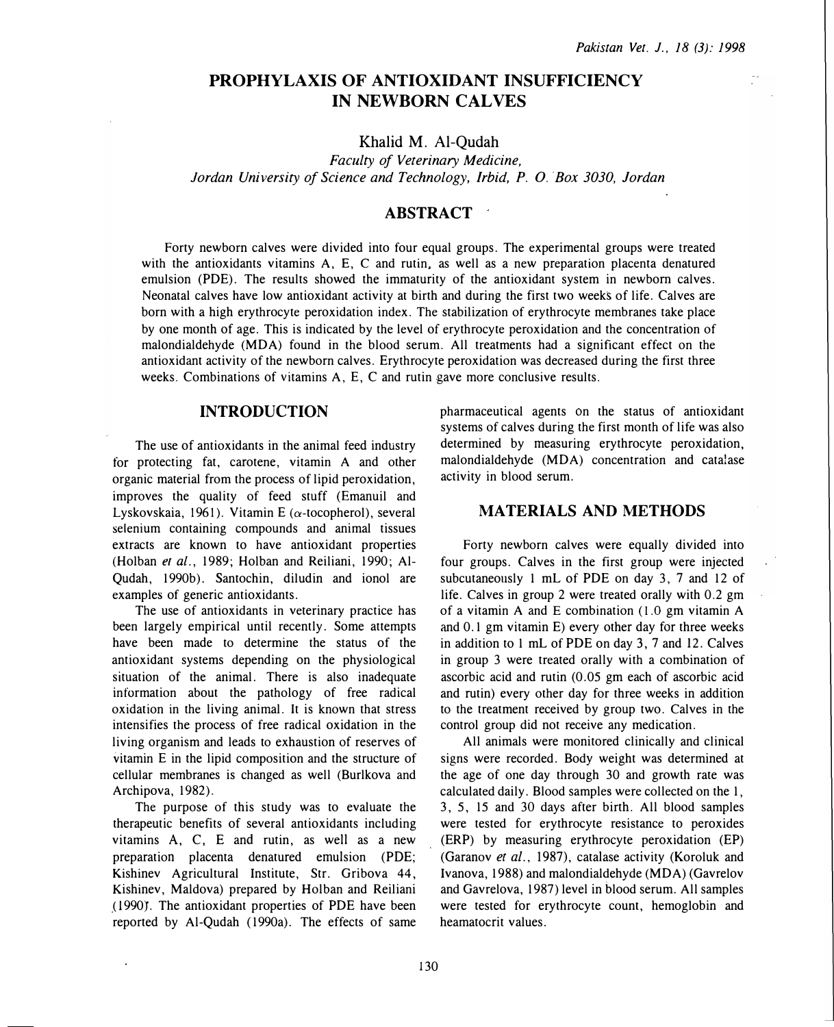# PROPHYLAXIS OF ANTIOXIDANT INSUFFICIENCY IN NEWBORN CALVES

Khalid M. Al-Qudah

Faculty of Veterinary Medicine, Jordan University of Science and Technology, Irbid, P. 0. Box 3030, Jordan

## **ABSTRACT**

Forty newborn calves were divided into four equal groups. The experimental groups were treated with the antioxidants vitamins A, E, C and rutin, as well as a new preparation placenta denatured emulsion (PDE). The results showed the immaturity of the antioxidant system in newborn calves. Neonatal calves have low antioxidant activity at birth and during the first two weeks of life. Calves are born with a high erythrocyte peroxidation index. The stabilization of erythrocyte membranes take place by one month of age. This is indicated by the level of erythrocyte peroxidation and the concentration of malondialdehyde (MDA) found in the blood serum. All treatments had a significant effect on the antioxidant activity of the newborn calves. Erythrocyte peroxidation was decreased during the first three weeks. Combinations of vitamins A, E, C and rutin gave more conclusive results.

## INTRODUCTION

The use of antioxidants in the animal feed industry for protecting fat, carotene, vitamin A and other organic material from the process of lipid peroxidation, improves the quality of feed stuff (Emanuil and Lyskovskaia, 1961). Vitamin E ( $\alpha$ -tocopherol), several selenium containing compounds and animal tissues extracts are known to have antioxidant properties (Holban et al., 1989; Holban and Reiliani, 1990; Al-Qudah, 1990b). Santochin, diludin and ionol are examples of generic antioxidants.

The use of antioxidants in veterinary practice has been largely empirical until recently. Some attempts have been made to determine the status of the antioxidant systems depending on the physiological situation of the animal. There is also inadequate information about the pathology of free radical oxidation in the living animal. It is known that stress intensifies the process of free radical oxidation in the living organism and leads to exhaustion of reserves of vitamin E in the lipid composition and the structure of cellular membranes is changed as well (Burlkova and Archipova, 1982).

The purpose of this study was to evaluate the therapeutic benefits of several antioxidants including vitamins A, C, E and rutin, as well as a new preparation placenta denatured emulsion (POE; Kishinev Agricultural Institute, Str. Gribova 44, Kishinev, Maldova) prepared by Holban and Reiliani (1990). The antioxidant properties of PDE have been reported by Al-Qudah (1990a). The effects of same pharmaceutical agents on the status of antioxidant systems of calves during the first month of life was also determined by measuring erythrocyte peroxidation, malondialdehyde (MDA) concentration and catalase activity in blood serum.

### MATERIALS AND METHODS

Forty newborn calves were equally divided into four groups. Calves in the first group were injected subcutaneously 1 mL of PDE on day 3, 7 and 12 of life. Calves in group 2 were treated orally with 0.2 gm of a vitamin A and E combination  $(1.0 \text{ gm vitamin A})$ and 0. 1 gm vitamin E) every other day for three weeks in addition to 1 mL of PDE on day 3, 7 and 12. Calves in group 3 were treated orally with a combination of ascorbic acid and rutin (0.05 gm each of ascorbic acid and rutin) every other day for three weeks in addition to the treatment received by group two. Calves in the control group did not receive any medication.

All animals were monitored clinically and clinical signs were recorded. Body weight was determined at the age of one day through 30 and growth rate was calculated daily. Blood samples were collected on the 1, 3, 5, 15 and 30 days after birth. All blood samples were tested for erythrocyte resistance to peroxides (ERP) by measuring erythrocyte peroxidation (EP) (Garanov et al., 1987), catalase activity (Koroluk and Ivanova, 1988) and malondialdehyde (MDA) (Gavrelov and Gavrelova, 1987) level in blood serum. All samples were tested for erythrocyte count, hemoglobin and heamatocrit values.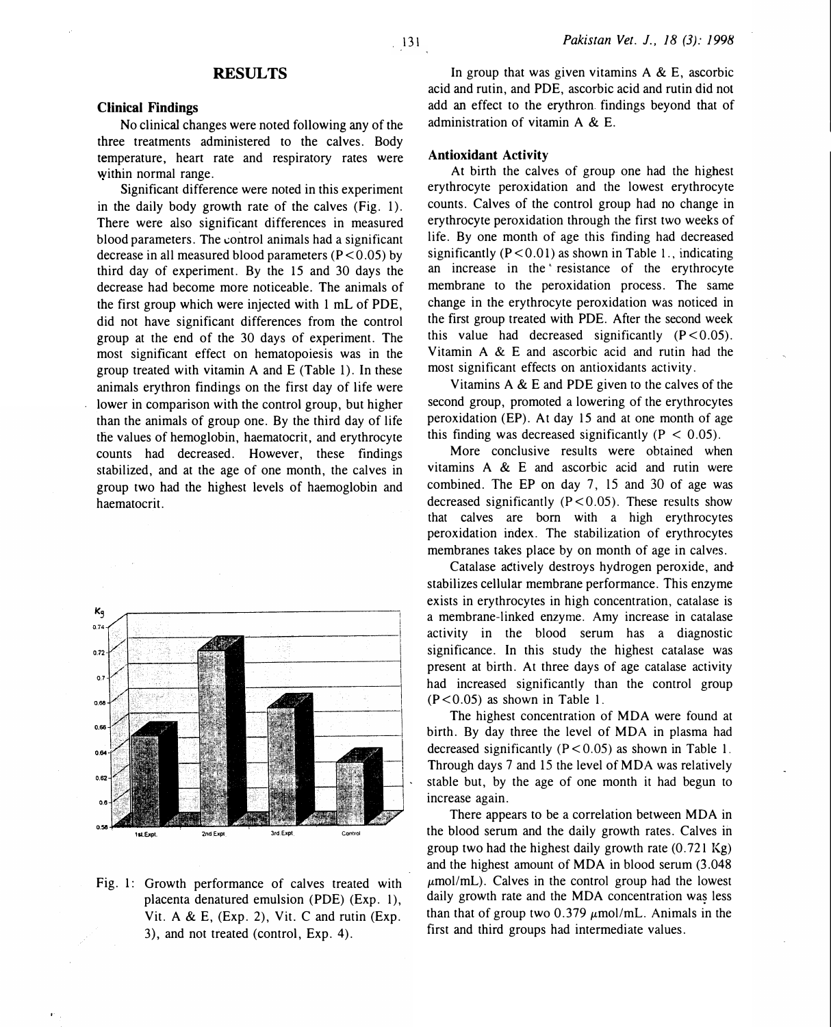# **RESULTS**

#### Clinical Findings

No clinical changes were noted following any of the three treatments administered to the calves. Body temperature, heart rate and respiratory rates were within normal range.

Significant difference were noted in this experiment in the daily body growth rate of the calves (Fig. 1). There were also significant differences in measured blood parameters. The control animals had a significant decrease in all measured blood parameters  $(P < 0.05)$  by third day of experiment. By the 15 and 30 days the decrease had become more noticeable. The animals of the first group which were injected with 1 mL of PDE, did not have significant differences from the control group at the end of the 30 days of experiment. The most significant effect on hematopoiesis was in the group treated with vitamin A and E (Table 1). In these animals erythron findings on the first day of life were lower in comparison with the control group, but higher than the animals of group one. By the third day of life the values of hemoglobin, haematocrit, and erythrocyte counts had decreased. However, these findings stabilized, and at the age of one month, the calves in group two had the highest levels of haemoglobin and haematocrit.



Fig. 1: Growth performance of calves treated with placenta denatured emulsion (POE) (Exp. 1), Vit. A & E, (Exp. 2), Vit. C and rutin (Exp. 3), and not treated (control, Exp. 4).

In group that was given vitamins  $A \& E$ , ascorbic acid and rutin, and PDE, ascorbic acid and rutin did not add an effect to the erythron. findings beyond that of administration of vitamin A & E.

### Antioxidant Activity

At birth the calves of group one had the highest erythrocyte peroxidation and the lowest erythrocyte counts. Calves of the control group had no change in erythrocyte peroxidation through the first two weeks of life. By one month of age this finding had decreased significantly  $(P < 0.01)$  as shown in Table 1., indicating an increase in the resistance of the erythrocyte membrane to the peroxidation process. The same change in the erythrocyte peroxidation was noticed in the first group treated with PDE. After the second week this value had decreased significantly  $(P < 0.05)$ . Vitamin A & E and ascorbic acid and rutin had the most significant effects on antioxidants activity.

Vitamins A & E and POE given to the calves of the second group, promoted a lowering of the erythrocytes peroxidation (EP). At day 15 and at one month of age this finding was decreased significantly  $(P < 0.05)$ .

More conclusive results were obtained when vitamins A & E and ascorbic acid and rutin were combined. The EP on day 7, 15 and 30 of age was decreased significantly  $(P < 0.05)$ . These results show that calves are born with a high erythrocytes peroxidation index. The stabilization of erythrocytes membranes takes place by on month of age in calves.

Catalase a�tively destroys hydrogen peroxide, and stabilizes cellular membrane performance. This enzyme exists in erythrocytes in high concentration, catalase is a membrane-linked enzyme. Amy increase in catalase activity in the blood serum has a diagnostic significance. In this study the highest catalase was present at birth. At three days of age catalase activity had increased significantly than the control group  $(P<0.05)$  as shown in Table 1.

The highest concentration of MOA were found at birth. By day three the level of MOA in plasma had decreased significantly  $(P < 0.05)$  as shown in Table 1. Through days 7 and 15 the level of MDA was relatively stable but, by the age of one month it had begun to increase again.

There appears to be a correlation between MOA in the blood serum and the daily growth rates. Calves in group two had the highest daily growth rate  $(0.721 \text{ Kg})$ and the highest amount of MDA in blood serum (3.048  $\mu$ mol/mL). Calves in the control group had the lowest daily growth rate and the MOA concentration was less than that of group two  $0.379 \mu$ mol/mL. Animals in the . first and third groups had intermediate values.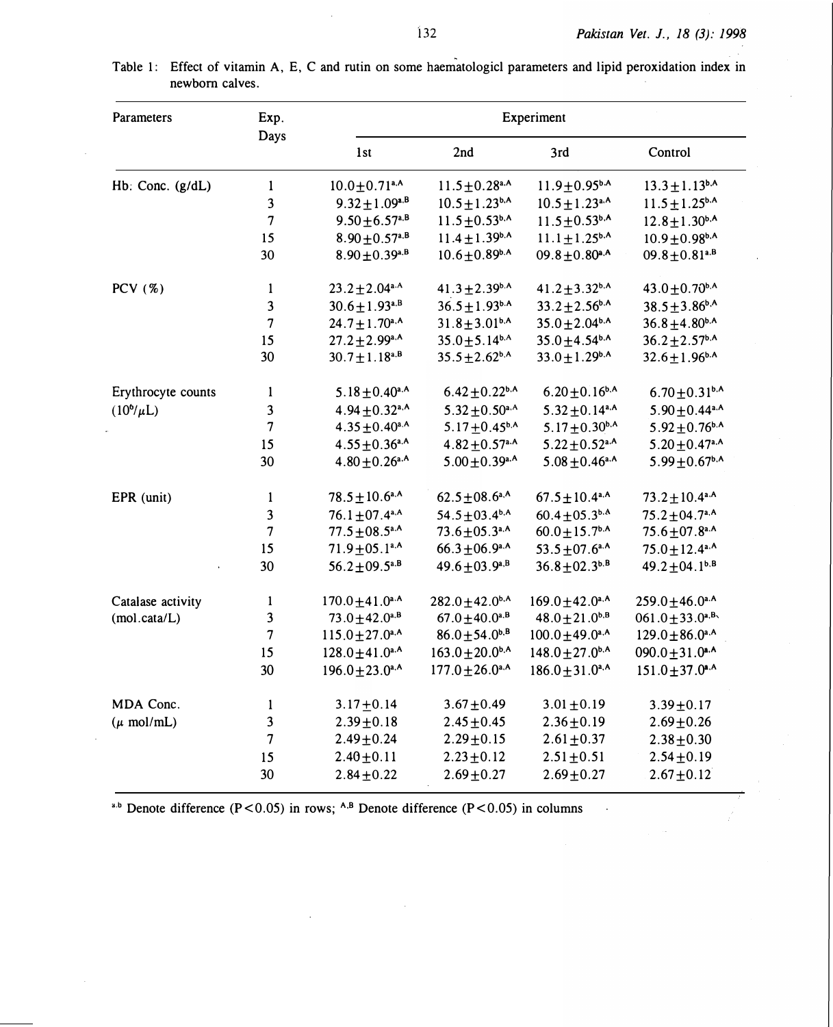•

<sup>a.b</sup> Denote difference (P<0.05) in rows; <sup>A,B</sup> Denote difference (P<0.05) in columns

the contract of the contract of the contract of the

| Table 1: Effect of vitamin A, E, C and rutin on some haematologicl parameters and lipid peroxidation index in |  |  |  |  |  |
|---------------------------------------------------------------------------------------------------------------|--|--|--|--|--|
| newborn calves.                                                                                               |  |  |  |  |  |

| <b>Parameters</b>      | Exp.                     | Experiment                      |                                 |                                 |                                 |  |  |  |  |
|------------------------|--------------------------|---------------------------------|---------------------------------|---------------------------------|---------------------------------|--|--|--|--|
|                        | <b>Days</b>              | 1st                             | 2nd                             | 3rd                             | Control                         |  |  |  |  |
| Hb: Conc. $(g/dL)$     |                          | $10.0 \pm 0.71$ <sup>a,A</sup>  | $11.5 \pm 0.28$ <sup>a.A</sup>  | $11.9 \pm 0.95$ <sub>b</sub> .A | $13.3 \pm 1.13^{b,A}$           |  |  |  |  |
|                        | $\overline{3}$           | $9.32 \pm 1.09^{a,B}$           | $10.5 \pm 1.23^{b,A}$           | $10.5 \pm 1.23$ <sup>a,A</sup>  | $11.5 \pm 1.25^{b.A}$           |  |  |  |  |
|                        |                          | $9.50 \pm 6.57$ <sup>a,B</sup>  | $11.5 \pm 0.53^{b.A}$           | $11.5 \pm 0.53^{b.A}$           | $12.8 \pm 1.30^{b,A}$           |  |  |  |  |
|                        | 15                       | $8.90 \pm 0.57$ <sup>a,B</sup>  | $11.4 \pm 1.39^{b,A}$           | $11.1 \pm 1.25^{b,A}$           | $10.9 \pm 0.98$ <sup>b,A</sup>  |  |  |  |  |
|                        | 30                       | $8.90 \pm 0.39^{a,B}$           | $10.6 \pm 0.89$ <sub>b.A</sub>  | $09.8 \pm 0.80$ <sup>a,A</sup>  | $09.8 \pm 0.81$ <sup>a.B</sup>  |  |  |  |  |
| PCV (%)                |                          | $23.2 \pm 2.04$ <sup>a.A</sup>  | $41.3 \pm 2.39^{b.A}$           | $41.2 \pm 3.32$ <sup>b,A</sup>  | $43.0 \pm 0.70$ <sup>b.A</sup>  |  |  |  |  |
|                        | $\overline{3}$           | $30.6 \pm 1.93^{a,B}$           | $36.5 \pm 1.93^{b.A}$           | $33.2 \pm 2.56^{b.A}$           | $38.5 \pm 3.86^{b,A}$           |  |  |  |  |
|                        | $\overline{\mathcal{L}}$ | $24.7 \pm 1.70^{\text{a,A}}$    | $31.8 \pm 3.01^{b,A}$           | $35.0 \pm 2.04^{b.A}$           | $36.8 + 4.80^{b,A}$             |  |  |  |  |
|                        | 15                       | $27.2 \pm 2.99^{\text{a,A}}$    | $35.0 \pm 5.14^{b.A}$           | $35.0 \pm 4.54^{b,A}$           | $36.2 \pm 2.57^{b,A}$           |  |  |  |  |
|                        | 30                       | $30.7 \pm 1.18^{a,B}$           | $35.5 \pm 2.62^{\rm b.A}$       | $33.0 \pm 1.29$ <sup>b,A</sup>  | $32.6 \pm 1.96^{b.A}$           |  |  |  |  |
| Erythrocyte counts     |                          | $5.18 \pm 0.40$ <sup>a,A</sup>  | $6.42 \pm 0.22$ <sup>b,A</sup>  | $6.20 \pm 0.16^{b,A}$           | $6.70 \pm 0.31$ <sup>b.A</sup>  |  |  |  |  |
| $(10^6/\mu L)$         | 3 <sup>1</sup>           | $4.94 \pm 0.32$ <sup>a,A</sup>  | $5.32 \pm 0.50$ <sup>a,A</sup>  | $5.32 \pm 0.14$ <sup>a,A</sup>  | $5.90 \pm 0.44$ <sup>a,A</sup>  |  |  |  |  |
|                        | $\overline{\mathcal{U}}$ | $4.35 \pm 0.40^{\text{a,A}}$    | 5.17 $\pm$ 0.45 <sup>b,A</sup>  | $5.17 \pm 0.30$ <sup>b,A</sup>  | $5.92 \pm 0.76$ <sup>b.A</sup>  |  |  |  |  |
|                        | 15                       | $4.55 \pm 0.36$ <sup>a,A</sup>  | $4.82 \pm 0.57$ <sup>a.A</sup>  | $5.22 \pm 0.52$ <sup>a.A</sup>  | $5.20 \pm 0.47$ <sup>a.A</sup>  |  |  |  |  |
|                        | 30                       | $4.80 \pm 0.26$ <sup>a,A</sup>  | $5.00 \pm 0.39$ <sup>a,A</sup>  | $5.08 \pm 0.46$ <sup>a,A</sup>  | $5.99 \pm 0.67$ <sup>b,A</sup>  |  |  |  |  |
| EPR (unit)             |                          | $78.5 \pm 10.6$ <sup>a,A</sup>  | $62.5 \pm 08.6$ <sup>a,A</sup>  | $67.5 \pm 10.4$ <sup>a,A</sup>  | $73.2 \pm 10.4$ <sup>a,A</sup>  |  |  |  |  |
|                        | $\overline{3}$           | $76.1 \pm 07.4$ <sup>a,A</sup>  | $54.5 \pm 03.4^{\rm b,A}$       | $60.4 \pm 05.3^{b.A}$           | $75.2 \pm 04.7$ <sup>a,A</sup>  |  |  |  |  |
|                        | $7\overline{ }$          | $77.5 \pm 08.5^{\text{a,A}}$    | $73.6 \pm 05.3$ <sup>a,A</sup>  | $60.0 \pm 15.7$ <sup>b.A</sup>  | $75.6 \pm 07.8$ <sup>a,A</sup>  |  |  |  |  |
|                        | 15                       | $71.9 \pm 05.1$ <sup>a,A</sup>  | $66.3 \pm 06.9$ <sup>a.A</sup>  | 53.5 $\pm$ 07.6 <sup>a,A</sup>  | $75.0 \pm 12.4$ <sup>a,A</sup>  |  |  |  |  |
|                        | 30                       | $56.2 \pm 09.5^{a,B}$           | $49.6 \pm 03.9^{a,B}$           | $36.8 \pm 02.3^{b. B}$          | $49.2 \pm 04.1^{b.B.}$          |  |  |  |  |
| Catalase activity      |                          | $170.0 \pm 41.0$ <sup>a.A</sup> | $282.0 + 42.0$ <sup>b.A</sup>   | $169.0 + 42.0$ <sup>a,A</sup>   | $259.0 \pm 46.0$ <sup>a.A</sup> |  |  |  |  |
| (mol.cata/L)           | 3                        | $73.0 \pm 42.0^{a,B}$           | $67.0 \pm 40.0^{a,B}$           | $48.0 \pm 21.0^{b,B}$           | $061.0 \pm 33.0^{a,B}$          |  |  |  |  |
|                        | $\boldsymbol{7}$         | $115.0 \pm 27.0$ <sup>a,A</sup> | $86.0 \pm 54.0^{b,B}$           | $100.0 \pm 49.0$ <sup>a,A</sup> | $129.0 \pm 86.0$ <sup>a,A</sup> |  |  |  |  |
|                        | 15                       | $128.0 \pm 41.0$ <sup>a.A</sup> | $163.0 \pm 20.0$ <sup>b.A</sup> | $148.0 \pm 27.0$ <sup>b,A</sup> | $090.0 \pm 31.0$ <sup>a.A</sup> |  |  |  |  |
|                        | 30                       | $196.0 \pm 23.0$ <sup>a,A</sup> | $177.0 \pm 26.0$ <sup>a,A</sup> | $186.0 \pm 31.0$ <sup>a,A</sup> | $151.0 \pm 37.0$ <sup>a,A</sup> |  |  |  |  |
| MDA Conc.              |                          | $3.17 \pm 0.14$                 | $3.67 + 0.49$                   | $3.01 \pm 0.19$                 | $3.39 \pm 0.17$                 |  |  |  |  |
| $(\mu \text{ mol/mL})$ | 3 <sup>1</sup>           | $2.39 \pm 0.18$                 | $2.45 \pm 0.45$                 | $2.36 \pm 0.19$                 | $2.69 + 0.26$                   |  |  |  |  |
|                        | $\overline{\mathcal{U}}$ | $2.49 \pm 0.24$                 | $2.29 + 0.15$                   | $2.61 + 0.37$                   | $2.38 + 0.30$                   |  |  |  |  |
|                        | 15                       | $2.40 \pm 0.11$                 | $2.23 \pm 0.12$                 | $2.51 \pm 0.51$                 | $2.54 \pm 0.19$                 |  |  |  |  |
|                        | 30                       | $2.84 + 0.22$                   | $2.69 + 0.27$                   | $2.69 + 0.27$                   | $2.67 \pm 0.12$                 |  |  |  |  |